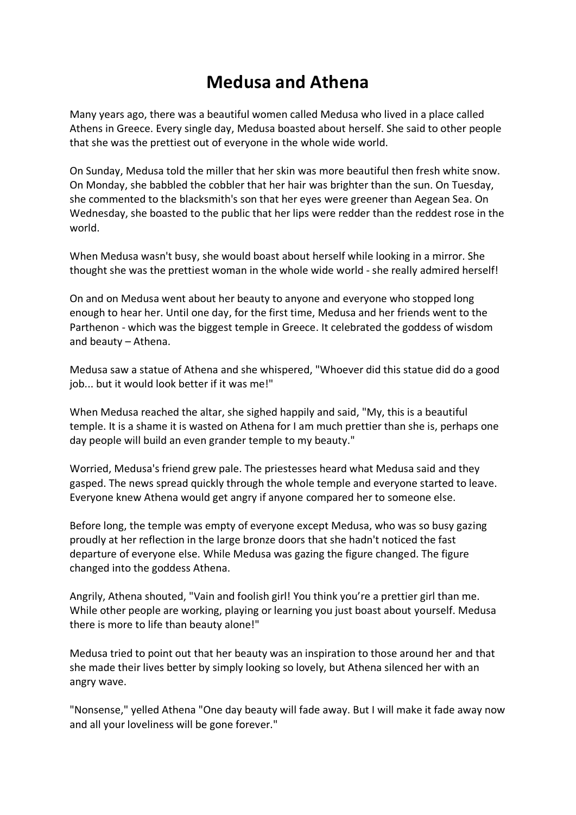## **Medusa and Athena**

Many years ago, there was a beautiful women called Medusa who lived in a place called Athens in Greece. Every single day, Medusa boasted about herself. She said to other people that she was the prettiest out of everyone in the whole wide world.

On Sunday, Medusa told the miller that her skin was more beautiful then fresh white snow. On Monday, she babbled the cobbler that her hair was brighter than the sun. On Tuesday, she commented to the blacksmith's son that her eyes were greener than Aegean Sea. On Wednesday, she boasted to the public that her lips were redder than the reddest rose in the world.

When Medusa wasn't busy, she would boast about herself while looking in a mirror. She thought she was the prettiest woman in the whole wide world - she really admired herself!

On and on Medusa went about her beauty to anyone and everyone who stopped long enough to hear her. Until one day, for the first time, Medusa and her friends went to the Parthenon - which was the biggest temple in Greece. It celebrated the goddess of wisdom and beauty – Athena.

Medusa saw a statue of Athena and she whispered, "Whoever did this statue did do a good job... but it would look better if it was me!"

When Medusa reached the altar, she sighed happily and said, "My, this is a beautiful temple. It is a shame it is wasted on Athena for I am much prettier than she is, perhaps one day people will build an even grander temple to my beauty."

Worried, Medusa's friend grew pale. The priestesses heard what Medusa said and they gasped. The news spread quickly through the whole temple and everyone started to leave. Everyone knew Athena would get angry if anyone compared her to someone else.

Before long, the temple was empty of everyone except Medusa, who was so busy gazing proudly at her reflection in the large bronze doors that she hadn't noticed the fast departure of everyone else. While Medusa was gazing the figure changed. The figure changed into the goddess Athena.

Angrily, Athena shouted, "Vain and foolish girl! You think you're a prettier girl than me. While other people are working, playing or learning you just boast about yourself. Medusa there is more to life than beauty alone!"

Medusa tried to point out that her beauty was an inspiration to those around her and that she made their lives better by simply looking so lovely, but Athena silenced her with an angry wave.

"Nonsense," yelled Athena "One day beauty will fade away. But I will make it fade away now and all your loveliness will be gone forever."